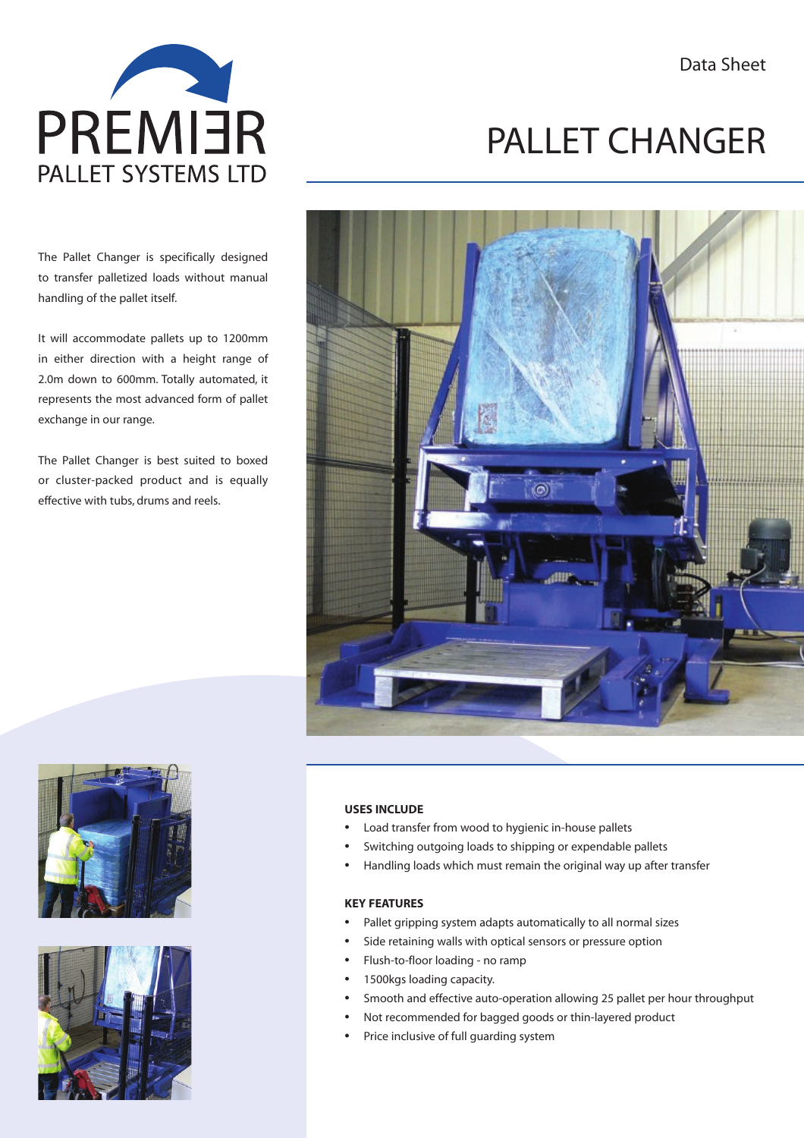Data Sheet



The Pallet Changer is specifically designed to transfer palletized loads without manual handling of the pallet itself.

It will accommodate pallets up to 1200mm in either direction with a height range of 2.0m down to 600mm. Totally automated, it represents the most advanced form of pallet exchange in our range.

The Pallet Changer is best suited to boxed or cluster-packed product and is equally effective with tubs, drums and reels.

## PALLET CHANGER







#### **USES INCLUDE**

- Load transfer from wood to hygienic in-house pallets
- Switching outgoing loads to shipping or expendable pallets
- Handling loads which must remain the original way up after transfer

#### **KEY FEATURES**

- Pallet gripping system adapts automatically to all normal sizes
- Side retaining walls with optical sensors or pressure option
- Flush-to-floor loading no ramp
- 1500kgs loading capacity.
- Smooth and effective auto-operation allowing 25 pallet per hour throughput
	- Not recommended for bagged goods or thin-layered product
- Price inclusive of full guarding system